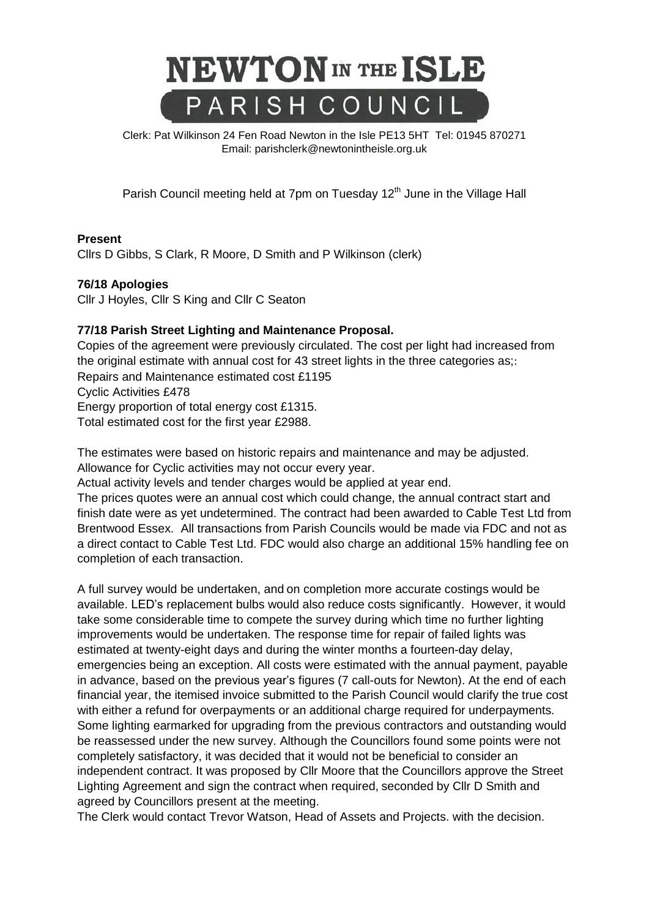

Clerk: Pat Wilkinson 24 Fen Road Newton in the Isle PE13 5HT [Tel: 01945](tel:01945) 870271 Email: parishclerk@newtonintheisle.org.uk

Parish Council meeting held at 7pm on Tuesday 12<sup>th</sup> June in the Village Hall

## **Present**

Cllrs D Gibbs, S Clark, R Moore, D Smith and P Wilkinson (clerk)

## **76/18 Apologies**

Cllr J Hoyles, Cllr S King and Cllr C Seaton

## **77/18 Parish Street Lighting and Maintenance Proposal.**

Copies of the agreement were previously circulated. The cost per light had increased from the original estimate with annual cost for 43 street lights in the three categories as;: Repairs and Maintenance estimated cost £1195 Cyclic Activities £478 Energy proportion of total energy cost £1315. Total estimated cost for the first year £2988.

The estimates were based on historic repairs and maintenance and may be adjusted. Allowance for Cyclic activities may not occur every year.

Actual activity levels and tender charges would be applied at year end.

The prices quotes were an annual cost which could change, the annual contract start and finish date were as yet undetermined. The contract had been awarded to Cable Test Ltd from Brentwood Essex. All transactions from Parish Councils would be made via FDC and not as a direct contact to Cable Test Ltd. FDC would also charge an additional 15% handling fee on completion of each transaction.

A full survey would be undertaken, and on completion more accurate costings would be available. LED's replacement bulbs would also reduce costs significantly. However, it would take some considerable time to compete the survey during which time no further lighting improvements would be undertaken. The response time for repair of failed lights was estimated at twenty-eight days and during the winter months a fourteen-day delay, emergencies being an exception. All costs were estimated with the annual payment, payable in advance, based on the previous year's figures (7 call-outs for Newton). At the end of each financial year, the itemised invoice submitted to the Parish Council would clarify the true cost with either a refund for overpayments or an additional charge required for underpayments. Some lighting earmarked for upgrading from the previous contractors and outstanding would be reassessed under the new survey. Although the Councillors found some points were not completely satisfactory, it was decided that it would not be beneficial to consider an independent contract. It was proposed by Cllr Moore that the Councillors approve the Street Lighting Agreement and sign the contract when required, seconded by Cllr D Smith and agreed by Councillors present at the meeting.

The Clerk would contact Trevor Watson, Head of Assets and Projects. with the decision.